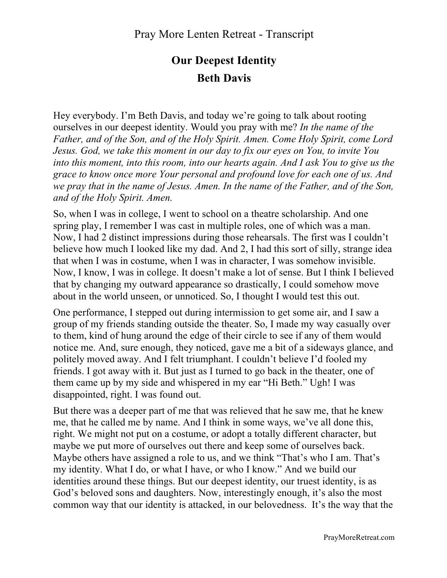## **Our Deepest Identity Beth Davis**

Hey everybody. I'm Beth Davis, and today we're going to talk about rooting ourselves in our deepest identity. Would you pray with me? *In the name of the Father, and of the Son, and of the Holy Spirit. Amen. Come Holy Spirit, come Lord Jesus. God, we take this moment in our day to fix our eyes on You, to invite You into this moment, into this room, into our hearts again. And I ask You to give us the grace to know once more Your personal and profound love for each one of us. And we pray that in the name of Jesus. Amen. In the name of the Father, and of the Son, and of the Holy Spirit. Amen.*

So, when I was in college, I went to school on a theatre scholarship. And one spring play, I remember I was cast in multiple roles, one of which was a man. Now, I had 2 distinct impressions during those rehearsals. The first was I couldn't believe how much I looked like my dad. And 2, I had this sort of silly, strange idea that when I was in costume, when I was in character, I was somehow invisible. Now, I know, I was in college. It doesn't make a lot of sense. But I think I believed that by changing my outward appearance so drastically, I could somehow move about in the world unseen, or unnoticed. So, I thought I would test this out.

One performance, I stepped out during intermission to get some air, and I saw a group of my friends standing outside the theater. So, I made my way casually over to them, kind of hung around the edge of their circle to see if any of them would notice me. And, sure enough, they noticed, gave me a bit of a sideways glance, and politely moved away. And I felt triumphant. I couldn't believe I'd fooled my friends. I got away with it. But just as I turned to go back in the theater, one of them came up by my side and whispered in my ear "Hi Beth." Ugh! I was disappointed, right. I was found out.

But there was a deeper part of me that was relieved that he saw me, that he knew me, that he called me by name. And I think in some ways, we've all done this, right. We might not put on a costume, or adopt a totally different character, but maybe we put more of ourselves out there and keep some of ourselves back. Maybe others have assigned a role to us, and we think "That's who I am. That's my identity. What I do, or what I have, or who I know." And we build our identities around these things. But our deepest identity, our truest identity, is as God's beloved sons and daughters. Now, interestingly enough, it's also the most common way that our identity is attacked, in our belovedness. It's the way that the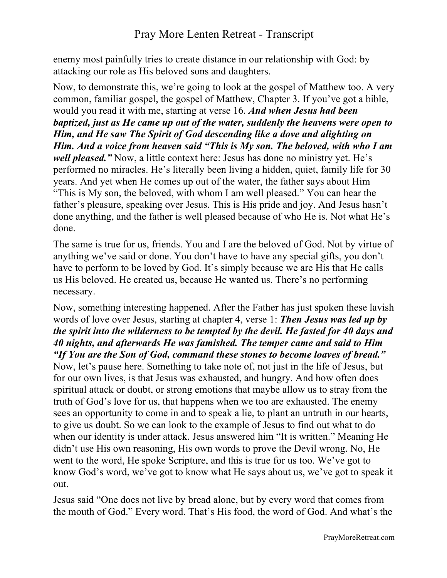enemy most painfully tries to create distance in our relationship with God: by attacking our role as His beloved sons and daughters.

Now, to demonstrate this, we're going to look at the gospel of Matthew too. A very common, familiar gospel, the gospel of Matthew, Chapter 3. If you've got a bible, would you read it with me, starting at verse 16. *And when Jesus had been baptized, just as He came up out of the water, suddenly the heavens were open to Him, and He saw The Spirit of God descending like a dove and alighting on Him. And a voice from heaven said "This is My son. The beloved, with who I am well pleased.*" Now, a little context here: Jesus has done no ministry yet. He's performed no miracles. He's literally been living a hidden, quiet, family life for 30 years. And yet when He comes up out of the water, the father says about Him "This is My son, the beloved, with whom I am well pleased." You can hear the father's pleasure, speaking over Jesus. This is His pride and joy. And Jesus hasn't done anything, and the father is well pleased because of who He is. Not what He's done.

The same is true for us, friends. You and I are the beloved of God. Not by virtue of anything we've said or done. You don't have to have any special gifts, you don't have to perform to be loved by God. It's simply because we are His that He calls us His beloved. He created us, because He wanted us. There's no performing necessary.

Now, something interesting happened. After the Father has just spoken these lavish words of love over Jesus, starting at chapter 4, verse 1: *Then Jesus was led up by the spirit into the wilderness to be tempted by the devil. He fasted for 40 days and 40 nights, and afterwards He was famished. The temper came and said to Him "If You are the Son of God, command these stones to become loaves of bread."* Now, let's pause here. Something to take note of, not just in the life of Jesus, but for our own lives, is that Jesus was exhausted, and hungry. And how often does spiritual attack or doubt, or strong emotions that maybe allow us to stray from the truth of God's love for us, that happens when we too are exhausted. The enemy sees an opportunity to come in and to speak a lie, to plant an untruth in our hearts, to give us doubt. So we can look to the example of Jesus to find out what to do when our identity is under attack. Jesus answered him "It is written." Meaning He didn't use His own reasoning, His own words to prove the Devil wrong. No, He went to the word, He spoke Scripture, and this is true for us too. We've got to know God's word, we've got to know what He says about us, we've got to speak it out.

Jesus said "One does not live by bread alone, but by every word that comes from the mouth of God." Every word. That's His food, the word of God. And what's the